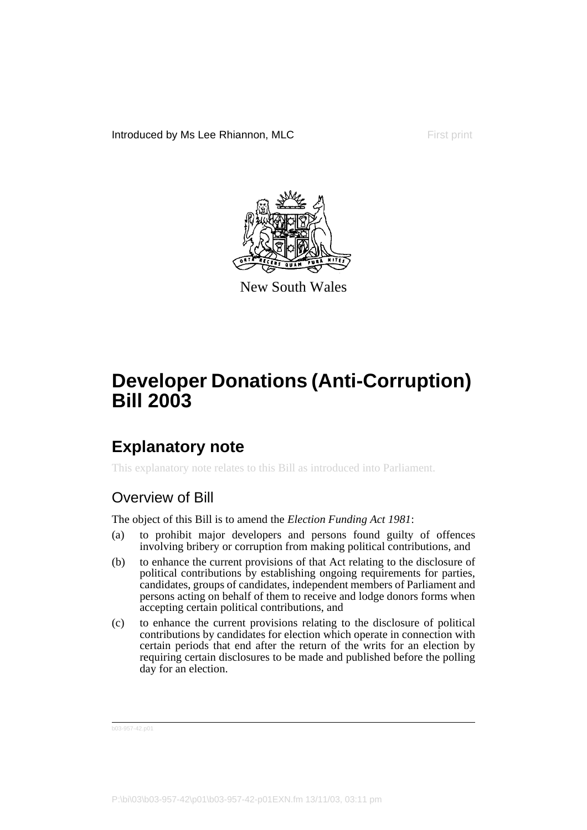Introduced by Ms Lee Rhiannon, MLC First print



New South Wales

# **Developer Donations (Anti-Corruption) Bill 2003**

## **Explanatory note**

This explanatory note relates to this Bill as introduced into Parliament.

## Overview of Bill

The object of this Bill is to amend the *Election Funding Act 1981*:

- (a) to prohibit major developers and persons found guilty of offences involving bribery or corruption from making political contributions, and
- (b) to enhance the current provisions of that Act relating to the disclosure of political contributions by establishing ongoing requirements for parties, candidates, groups of candidates, independent members of Parliament and persons acting on behalf of them to receive and lodge donors forms when accepting certain political contributions, and
- (c) to enhance the current provisions relating to the disclosure of political contributions by candidates for election which operate in connection with certain periods that end after the return of the writs for an election by requiring certain disclosures to be made and published before the polling day for an election.

b03-957-42.p01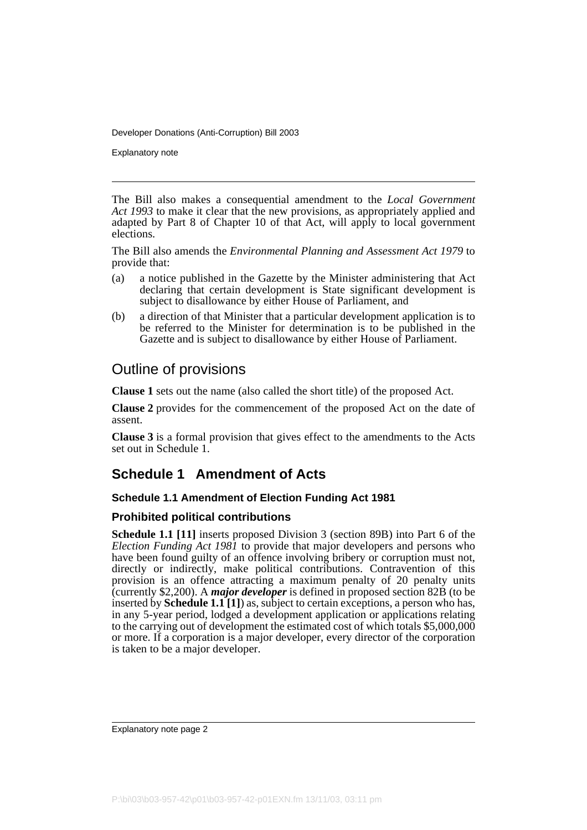Explanatory note

The Bill also makes a consequential amendment to the *Local Government Act 1993* to make it clear that the new provisions, as appropriately applied and adapted by Part 8 of Chapter 10 of that Act, will apply to local government elections.

The Bill also amends the *Environmental Planning and Assessment Act 1979* to provide that:

- (a) a notice published in the Gazette by the Minister administering that Act declaring that certain development is State significant development is subject to disallowance by either House of Parliament, and
- (b) a direction of that Minister that a particular development application is to be referred to the Minister for determination is to be published in the Gazette and is subject to disallowance by either House of Parliament.

## Outline of provisions

**Clause 1** sets out the name (also called the short title) of the proposed Act.

**Clause 2** provides for the commencement of the proposed Act on the date of assent.

**Clause 3** is a formal provision that gives effect to the amendments to the Acts set out in Schedule 1.

## **Schedule 1 Amendment of Acts**

### **Schedule 1.1 Amendment of Election Funding Act 1981**

### **Prohibited political contributions**

**Schedule 1.1 [11]** inserts proposed Division 3 (section 89B) into Part 6 of the *Election Funding Act 1981* to provide that major developers and persons who have been found guilty of an offence involving bribery or corruption must not, directly or indirectly, make political contributions. Contravention of this provision is an offence attracting a maximum penalty of 20 penalty units (currently \$2,200). A *major developer* is defined in proposed section  $82\overrightarrow{B}$  (to be inserted by **Schedule 1.1 [1]**) as, subject to certain exceptions, a person who has, in any 5-year period, lodged a development application or applications relating to the carrying out of development the estimated cost of which totals \$5,000,000 or more. If a corporation is a major developer, every director of the corporation is taken to be a major developer.

Explanatory note page 2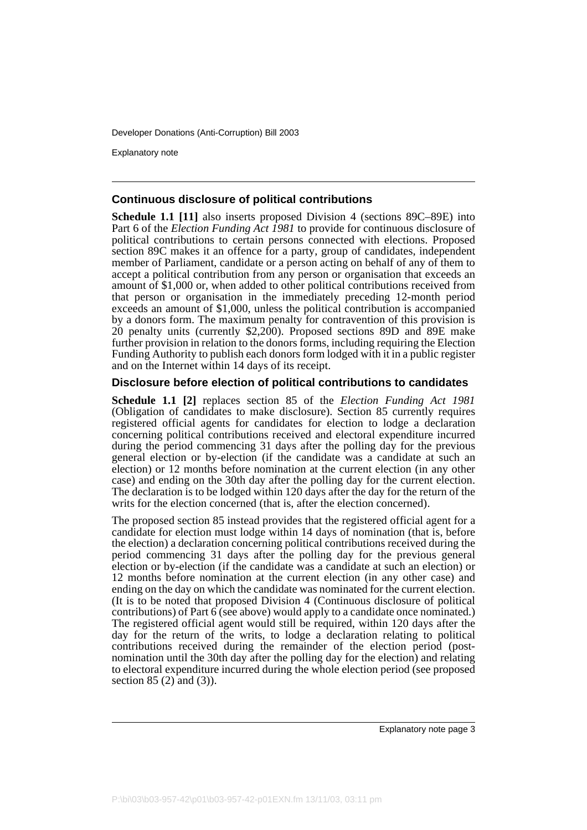Explanatory note

#### **Continuous disclosure of political contributions**

**Schedule 1.1 [11]** also inserts proposed Division 4 (sections 89C–89E) into Part 6 of the *Election Funding Act 1981* to provide for continuous disclosure of political contributions to certain persons connected with elections. Proposed section 89C makes it an offence for a party, group of candidates, independent member of Parliament, candidate or a person acting on behalf of any of them to accept a political contribution from any person or organisation that exceeds an amount of \$1,000 or, when added to other political contributions received from that person or organisation in the immediately preceding 12-month period exceeds an amount of \$1,000, unless the political contribution is accompanied by a donors form. The maximum penalty for contravention of this provision is 20 penalty units (currently \$2,200). Proposed sections 89D and 89E make further provision in relation to the donors forms, including requiring the Election Funding Authority to publish each donors form lodged with it in a public register and on the Internet within 14 days of its receipt.

#### **Disclosure before election of political contributions to candidates**

**Schedule 1.1 [2]** replaces section 85 of the *Election Funding Act 1981* (Obligation of candidates to make disclosure). Section 85 currently requires registered official agents for candidates for election to lodge a declaration concerning political contributions received and electoral expenditure incurred during the period commencing 31 days after the polling day for the previous general election or by-election (if the candidate was a candidate at such an election) or 12 months before nomination at the current election (in any other case) and ending on the 30th day after the polling day for the current election. The declaration is to be lodged within 120 days after the day for the return of the writs for the election concerned (that is, after the election concerned).

The proposed section 85 instead provides that the registered official agent for a candidate for election must lodge within 14 days of nomination (that is, before the election) a declaration concerning political contributions received during the period commencing 31 days after the polling day for the previous general election or by-election (if the candidate was a candidate at such an election) or 12 months before nomination at the current election (in any other case) and ending on the day on which the candidate was nominated for the current election. (It is to be noted that proposed Division 4 (Continuous disclosure of political contributions) of Part  $6$  (see above) would apply to a candidate once nominated.) The registered official agent would still be required, within 120 days after the day for the return of the writs, to lodge a declaration relating to political contributions received during the remainder of the election period (postnomination until the 30th day after the polling day for the election) and relating to electoral expenditure incurred during the whole election period (see proposed section 85 (2) and (3)).

Explanatory note page 3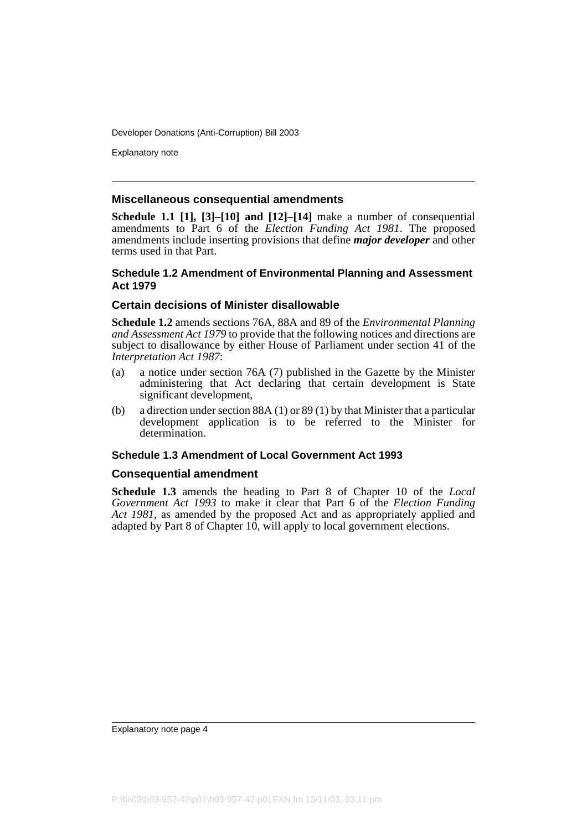Explanatory note

#### **Miscellaneous consequential amendments**

**Schedule 1.1 [1], [3]–[10] and [12]–[14]** make a number of consequential amendments to Part 6 of the *Election Funding Act 1981*. The proposed amendments include inserting provisions that define *major developer* and other terms used in that Part.

#### **Schedule 1.2 Amendment of Environmental Planning and Assessment Act 1979**

#### **Certain decisions of Minister disallowable**

**Schedule 1.2** amends sections 76A, 88A and 89 of the *Environmental Planning and Assessment Act 1979* to provide that the following notices and directions are subject to disallowance by either House of Parliament under section 41 of the *Interpretation Act 1987*:

- (a) a notice under section 76A (7) published in the Gazette by the Minister administering that Act declaring that certain development is State significant development,
- (b) a direction under section 88A (1) or 89 (1) by that Minister that a particular development application is to be referred to the Minister for determination.

#### **Schedule 1.3 Amendment of Local Government Act 1993**

#### **Consequential amendment**

**Schedule 1.3** amends the heading to Part 8 of Chapter 10 of the *Local Government Act 1993* to make it clear that Part 6 of the *Election Funding Act 1981*, as amended by the proposed Act and as appropriately applied and adapted by Part 8 of Chapter 10, will apply to local government elections.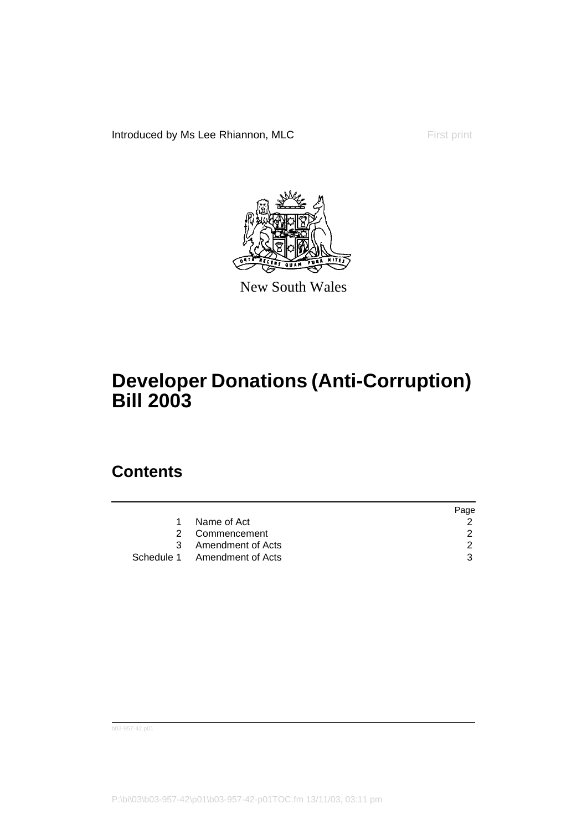Introduced by Ms Lee Rhiannon, MLC First print



New South Wales

# **Developer Donations (Anti-Corruption) Bill 2003**

# **Contents**

|   |                              | Page |
|---|------------------------------|------|
| 1 | Name of Act                  |      |
|   | 2 Commencement               |      |
|   | 3 Amendment of Acts          |      |
|   | Schedule 1 Amendment of Acts |      |

b03-957-42.p01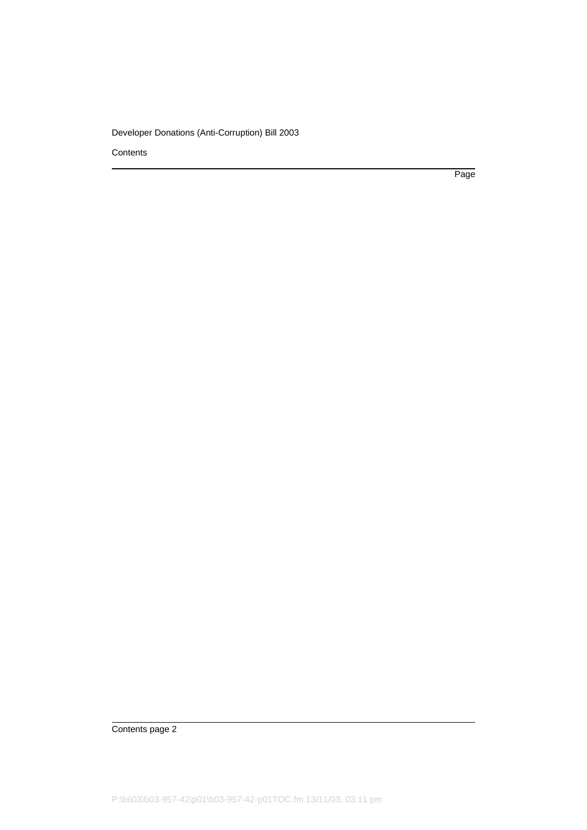**Contents** 

Page

Contents page 2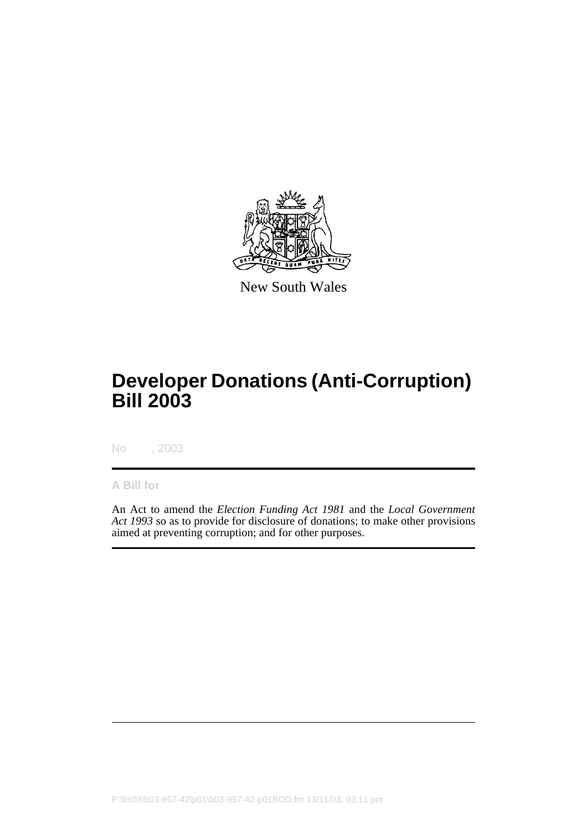

New South Wales

# **Developer Donations (Anti-Corruption) Bill 2003**

No , 2003

#### **A Bill for**

An Act to amend the *Election Funding Act 1981* and the *Local Government Act 1993* so as to provide for disclosure of donations; to make other provisions aimed at preventing corruption; and for other purposes.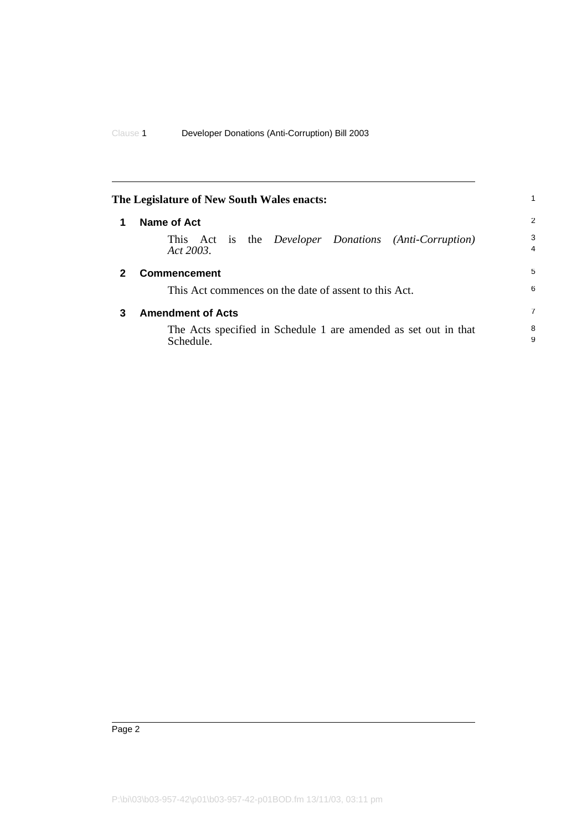<span id="page-7-2"></span><span id="page-7-1"></span><span id="page-7-0"></span>

|   | The Legislature of New South Wales enacts:                                    | 1.     |
|---|-------------------------------------------------------------------------------|--------|
| 1 | Name of Act                                                                   | 2      |
|   | This Act is the <i>Developer Donations (Anti-Corruption)</i><br>$Act\,2003$ . | 3<br>4 |
| 2 | <b>Commencement</b>                                                           | 5      |
|   | This Act commences on the date of assent to this Act.                         | 6      |
| 3 | <b>Amendment of Acts</b>                                                      | 7      |
|   | The Acts specified in Schedule 1 are amended as set out in that<br>Schedule.  | 8<br>9 |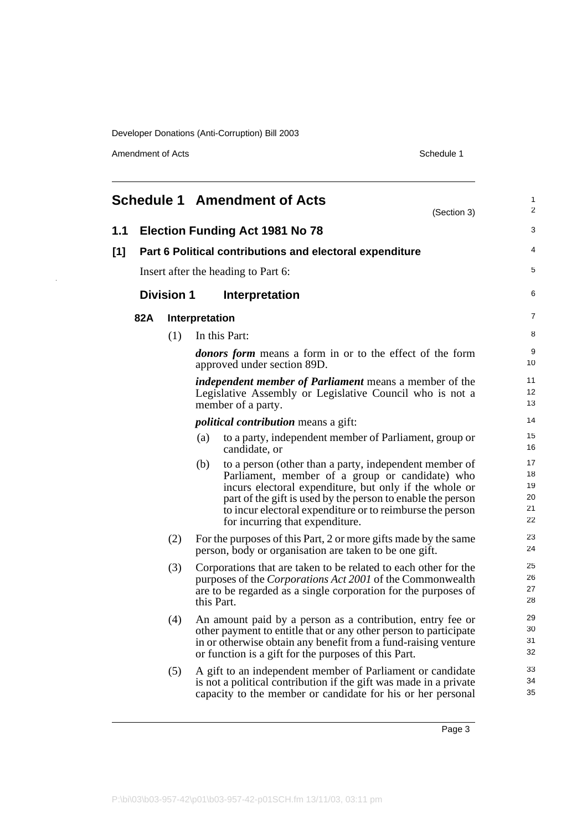Amendment of Acts Schedule 1

 $\hat{\boldsymbol{\gamma}}$ 

<span id="page-8-0"></span>

|     |     |                   |                | <b>Schedule 1 Amendment of Acts</b>                                                                                                                                                                                                                                                                                                | (Section 3) | 1<br>2                           |
|-----|-----|-------------------|----------------|------------------------------------------------------------------------------------------------------------------------------------------------------------------------------------------------------------------------------------------------------------------------------------------------------------------------------------|-------------|----------------------------------|
| 1.1 |     |                   |                | <b>Election Funding Act 1981 No 78</b>                                                                                                                                                                                                                                                                                             |             | 3                                |
| [1] |     |                   |                | Part 6 Political contributions and electoral expenditure                                                                                                                                                                                                                                                                           |             | 4                                |
|     |     |                   |                | Insert after the heading to Part 6:                                                                                                                                                                                                                                                                                                |             | 5                                |
|     |     | <b>Division 1</b> |                | Interpretation                                                                                                                                                                                                                                                                                                                     |             | 6                                |
|     | 82A |                   | Interpretation |                                                                                                                                                                                                                                                                                                                                    |             | 7                                |
|     |     | (1)               |                | In this Part:                                                                                                                                                                                                                                                                                                                      |             | 8                                |
|     |     |                   |                | donors form means a form in or to the effect of the form<br>approved under section 89D.                                                                                                                                                                                                                                            |             | 9<br>10                          |
|     |     |                   |                | <i>independent member of Parliament</i> means a member of the<br>Legislative Assembly or Legislative Council who is not a<br>member of a party.                                                                                                                                                                                    |             | 11<br>12<br>13                   |
|     |     |                   |                | <i>political contribution</i> means a gift:                                                                                                                                                                                                                                                                                        |             | 14                               |
|     |     |                   | (a)            | to a party, independent member of Parliament, group or<br>candidate, or                                                                                                                                                                                                                                                            |             | 15<br>16                         |
|     |     |                   | (b)            | to a person (other than a party, independent member of<br>Parliament, member of a group or candidate) who<br>incurs electoral expenditure, but only if the whole or<br>part of the gift is used by the person to enable the person<br>to incur electoral expenditure or to reimburse the person<br>for incurring that expenditure. |             | 17<br>18<br>19<br>20<br>21<br>22 |
|     |     | (2)               |                | For the purposes of this Part, 2 or more gifts made by the same<br>person, body or organisation are taken to be one gift.                                                                                                                                                                                                          |             | 23<br>24                         |
|     |     | (3)               | this Part.     | Corporations that are taken to be related to each other for the<br>purposes of the Corporations Act 2001 of the Commonwealth<br>are to be regarded as a single corporation for the purposes of                                                                                                                                     |             | 25<br>26<br>27<br>28             |
|     |     | (4)               |                | An amount paid by a person as a contribution, entry fee or<br>other payment to entitle that or any other person to participate<br>in or otherwise obtain any benefit from a fund-raising venture<br>or function is a gift for the purposes of this Part.                                                                           |             | 29<br>30<br>31<br>32             |
|     |     | (5)               |                | A gift to an independent member of Parliament or candidate<br>is not a political contribution if the gift was made in a private<br>capacity to the member or candidate for his or her personal                                                                                                                                     |             | 33<br>34<br>35                   |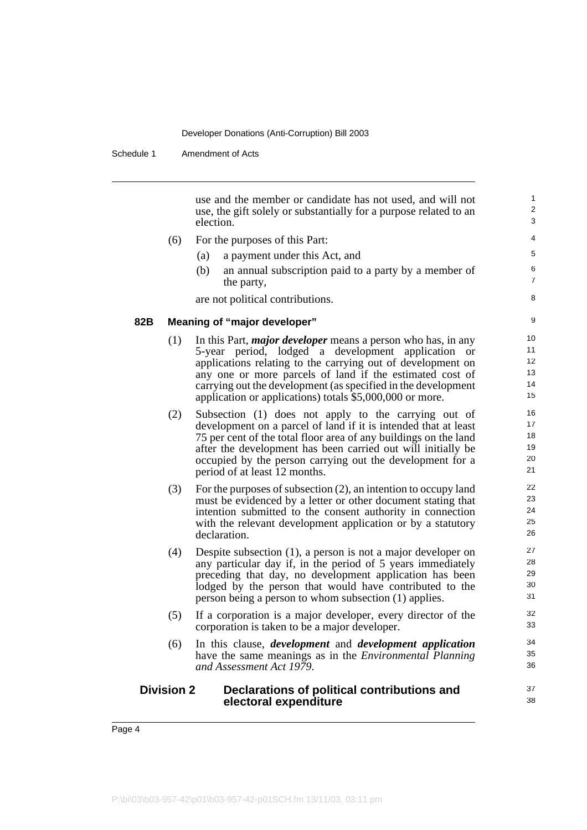Schedule 1 Amendment of Acts

use and the member or candidate has not used, and will not use, the gift solely or substantially for a purpose related to an election.

- (6) For the purposes of this Part:
	- (a) a payment under this Act, and

37 38

(b) an annual subscription paid to a party by a member of the party,

are not political contributions.

#### **82B Meaning of "major developer"**

- (1) In this Part, *major developer* means a person who has, in any 5-year period, lodged a development application or applications relating to the carrying out of development on any one or more parcels of land if the estimated cost of carrying out the development (as specified in the development application or applications) totals \$5,000,000 or more.
- (2) Subsection (1) does not apply to the carrying out of development on a parcel of land if it is intended that at least 75 per cent of the total floor area of any buildings on the land after the development has been carried out will initially be occupied by the person carrying out the development for a period of at least 12 months.
- (3) For the purposes of subsection (2), an intention to occupy land must be evidenced by a letter or other document stating that intention submitted to the consent authority in connection with the relevant development application or by a statutory declaration.
- (4) Despite subsection (1), a person is not a major developer on any particular day if, in the period of 5 years immediately preceding that day, no development application has been lodged by the person that would have contributed to the person being a person to whom subsection (1) applies.
- (5) If a corporation is a major developer, every director of the corporation is taken to be a major developer.
- (6) In this clause, *development* and *development application* have the same meanings as in the *Environmental Planning and Assessment Act 1979*.

#### **Division 2 Declarations of political contributions and electoral expenditure**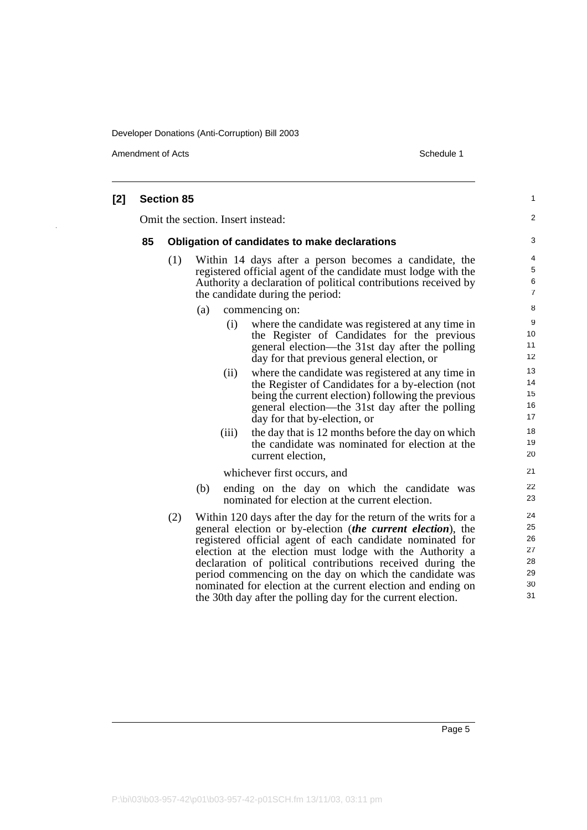Amendment of Acts Schedule 1

| [2] |    | <b>Section 85</b> |                                                                                                                                                                                                                                                                                                                                                                                                                                                                                                                                                                                                                                                                                                                                                                                                                                                 | $\mathbf{1}$                                                                                                                                  |  |  |
|-----|----|-------------------|-------------------------------------------------------------------------------------------------------------------------------------------------------------------------------------------------------------------------------------------------------------------------------------------------------------------------------------------------------------------------------------------------------------------------------------------------------------------------------------------------------------------------------------------------------------------------------------------------------------------------------------------------------------------------------------------------------------------------------------------------------------------------------------------------------------------------------------------------|-----------------------------------------------------------------------------------------------------------------------------------------------|--|--|
|     |    |                   | Omit the section. Insert instead:                                                                                                                                                                                                                                                                                                                                                                                                                                                                                                                                                                                                                                                                                                                                                                                                               |                                                                                                                                               |  |  |
|     | 85 |                   | <b>Obligation of candidates to make declarations</b>                                                                                                                                                                                                                                                                                                                                                                                                                                                                                                                                                                                                                                                                                                                                                                                            | 3                                                                                                                                             |  |  |
|     |    | (1)               | Within 14 days after a person becomes a candidate, the<br>registered official agent of the candidate must lodge with the<br>Authority a declaration of political contributions received by<br>the candidate during the period:<br>commencing on:<br>(a)<br>(i)<br>where the candidate was registered at any time in<br>the Register of Candidates for the previous<br>general election—the 31st day after the polling<br>day for that previous general election, or<br>where the candidate was registered at any time in<br>(ii)<br>the Register of Candidates for a by-election (not<br>being the current election) following the previous<br>general election—the 31st day after the polling<br>day for that by-election, or<br>the day that is 12 months before the day on which<br>(iii)<br>the candidate was nominated for election at the | 4<br>$\sqrt{5}$<br>6<br>$\overline{7}$<br>8<br>9<br>10 <sup>°</sup><br>11<br>12<br>13<br>14<br>15 <sub>15</sub><br>16<br>17<br>18<br>19<br>20 |  |  |
|     |    |                   | current election,<br>whichever first occurs, and<br>ending on the day on which the candidate was<br>(b)<br>nominated for election at the current election.                                                                                                                                                                                                                                                                                                                                                                                                                                                                                                                                                                                                                                                                                      | 21<br>22<br>23                                                                                                                                |  |  |
|     |    | (2)               | Within 120 days after the day for the return of the writs for a<br>general election or by-election <i>(the current election)</i> , the<br>registered official agent of each candidate nominated for<br>election at the election must lodge with the Authority a<br>declaration of political contributions received during the<br>period commencing on the day on which the candidate was<br>nominated for election at the current election and ending on<br>the 30th day after the polling day for the current election.                                                                                                                                                                                                                                                                                                                        | 24<br>25<br>26<br>27<br>28<br>29<br>30<br>31                                                                                                  |  |  |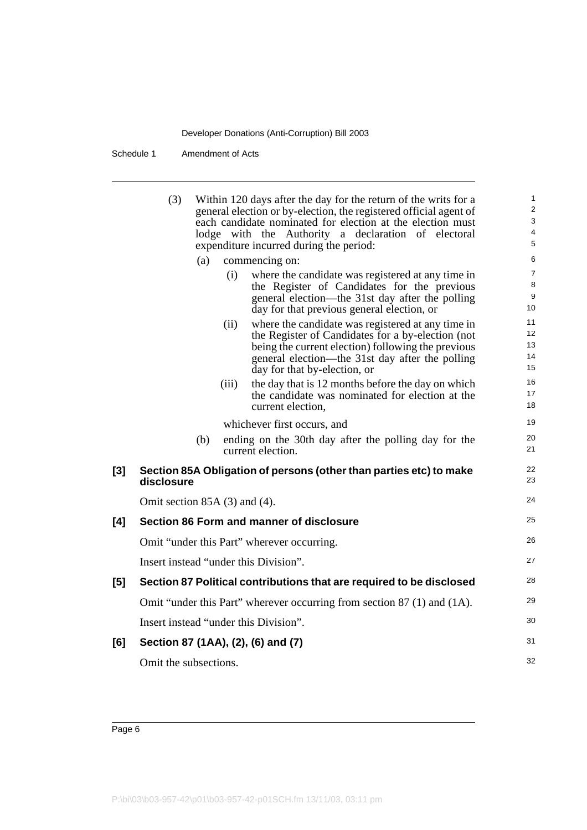Schedule 1 Amendment of Acts

|     | (3)                               | (a)   | Within 120 days after the day for the return of the writs for a<br>general election or by-election, the registered official agent of<br>each candidate nominated for election at the election must<br>lodge with the Authority a declaration of electoral<br>expenditure incurred during the period:<br>commencing on: | 1<br>$\overline{2}$<br>3<br>$\overline{4}$<br>5<br>6 |
|-----|-----------------------------------|-------|------------------------------------------------------------------------------------------------------------------------------------------------------------------------------------------------------------------------------------------------------------------------------------------------------------------------|------------------------------------------------------|
|     |                                   | (i)   | where the candidate was registered at any time in<br>the Register of Candidates for the previous<br>general election—the 31st day after the polling<br>day for that previous general election, or                                                                                                                      | $\overline{7}$<br>8<br>9<br>10                       |
|     |                                   | (ii)  | where the candidate was registered at any time in<br>the Register of Candidates for a by-election (not<br>being the current election) following the previous<br>general election—the 31st day after the polling<br>day for that by-election, or                                                                        | 11<br>12 <sup>2</sup><br>13<br>14<br>15              |
|     |                                   | (iii) | the day that is 12 months before the day on which<br>the candidate was nominated for election at the<br>current election,                                                                                                                                                                                              | 16<br>17<br>18                                       |
|     |                                   | (b)   | whichever first occurs, and<br>ending on the 30th day after the polling day for the<br>current election.                                                                                                                                                                                                               | 19<br>20<br>21                                       |
| [3] | disclosure                        |       | Section 85A Obligation of persons (other than parties etc) to make                                                                                                                                                                                                                                                     | 22<br>23                                             |
|     | Omit section $85A(3)$ and $(4)$ . |       |                                                                                                                                                                                                                                                                                                                        | 24                                                   |
| [4] |                                   |       | Section 86 Form and manner of disclosure                                                                                                                                                                                                                                                                               | 25                                                   |
|     |                                   |       | Omit "under this Part" wherever occurring.                                                                                                                                                                                                                                                                             | 26                                                   |
|     |                                   |       | Insert instead "under this Division".                                                                                                                                                                                                                                                                                  | 27                                                   |
| [5] |                                   |       | Section 87 Political contributions that are required to be disclosed                                                                                                                                                                                                                                                   | 28                                                   |
|     |                                   |       | Omit "under this Part" wherever occurring from section 87 (1) and (1A).                                                                                                                                                                                                                                                | 29                                                   |
|     |                                   |       | Insert instead "under this Division".                                                                                                                                                                                                                                                                                  | 30                                                   |
| [6] |                                   |       | Section 87 (1AA), (2), (6) and (7)                                                                                                                                                                                                                                                                                     | 31                                                   |
|     | Omit the subsections.             |       |                                                                                                                                                                                                                                                                                                                        | 32                                                   |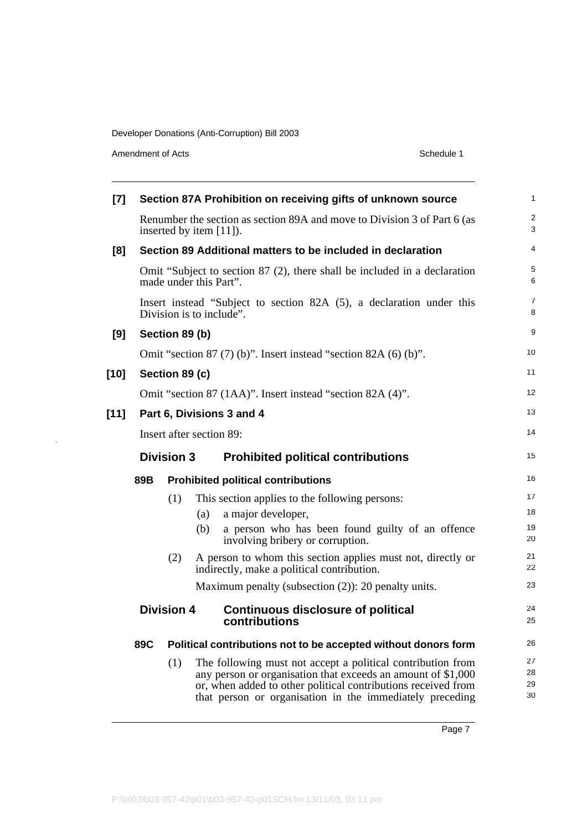Amendment of Acts Schedule 1

 $\bar{z}$ 

| $[7]$  | Section 87A Prohibition on receiving gifts of unknown source                                                       |                   |                                                                                                                                                                                                                                                          |                      |  |  |
|--------|--------------------------------------------------------------------------------------------------------------------|-------------------|----------------------------------------------------------------------------------------------------------------------------------------------------------------------------------------------------------------------------------------------------------|----------------------|--|--|
|        | Renumber the section as section 89A and move to Division 3 of Part 6 (as<br>inserted by item $[11]$ ).             |                   |                                                                                                                                                                                                                                                          |                      |  |  |
| [8]    |                                                                                                                    |                   | Section 89 Additional matters to be included in declaration                                                                                                                                                                                              | $\overline{4}$       |  |  |
|        |                                                                                                                    |                   | Omit "Subject to section 87 (2), there shall be included in a declaration<br>made under this Part".                                                                                                                                                      | 5<br>6               |  |  |
|        |                                                                                                                    |                   | Insert instead "Subject to section 82A (5), a declaration under this<br>Division is to include".                                                                                                                                                         | $\overline{7}$<br>8  |  |  |
| [9]    |                                                                                                                    | Section 89 (b)    |                                                                                                                                                                                                                                                          | 9                    |  |  |
|        |                                                                                                                    |                   | Omit "section 87 $(7)$ (b)". Insert instead "section 82A $(6)$ (b)".                                                                                                                                                                                     | 10                   |  |  |
| $[10]$ |                                                                                                                    | Section 89 (c)    |                                                                                                                                                                                                                                                          | 11                   |  |  |
|        |                                                                                                                    |                   | Omit "section 87 (1AA)". Insert instead "section 82A (4)".                                                                                                                                                                                               | 12                   |  |  |
| $[11]$ |                                                                                                                    |                   | Part 6, Divisions 3 and 4                                                                                                                                                                                                                                | 13                   |  |  |
|        | Insert after section 89:                                                                                           |                   |                                                                                                                                                                                                                                                          |                      |  |  |
|        | <b>Division 3</b><br><b>Prohibited political contributions</b><br>89B<br><b>Prohibited political contributions</b> |                   |                                                                                                                                                                                                                                                          |                      |  |  |
|        |                                                                                                                    |                   |                                                                                                                                                                                                                                                          |                      |  |  |
|        |                                                                                                                    | (1)               | This section applies to the following persons:                                                                                                                                                                                                           | 17                   |  |  |
|        |                                                                                                                    |                   | a major developer,<br>(a)                                                                                                                                                                                                                                | 18                   |  |  |
|        |                                                                                                                    |                   | (b)<br>a person who has been found guilty of an offence<br>involving bribery or corruption.                                                                                                                                                              | 19<br>20             |  |  |
|        |                                                                                                                    | (2)               | A person to whom this section applies must not, directly or<br>indirectly, make a political contribution.                                                                                                                                                | 21<br>22             |  |  |
|        |                                                                                                                    |                   | Maximum penalty (subsection (2)): 20 penalty units.                                                                                                                                                                                                      | 23                   |  |  |
|        |                                                                                                                    | <b>Division 4</b> | <b>Continuous disclosure of political</b><br>contributions                                                                                                                                                                                               | 24<br>25             |  |  |
|        | 89C                                                                                                                |                   | Political contributions not to be accepted without donors form                                                                                                                                                                                           | 26                   |  |  |
|        |                                                                                                                    | (1)               | The following must not accept a political contribution from<br>any person or organisation that exceeds an amount of \$1,000<br>or, when added to other political contributions received from<br>that person or organisation in the immediately preceding | 27<br>28<br>29<br>30 |  |  |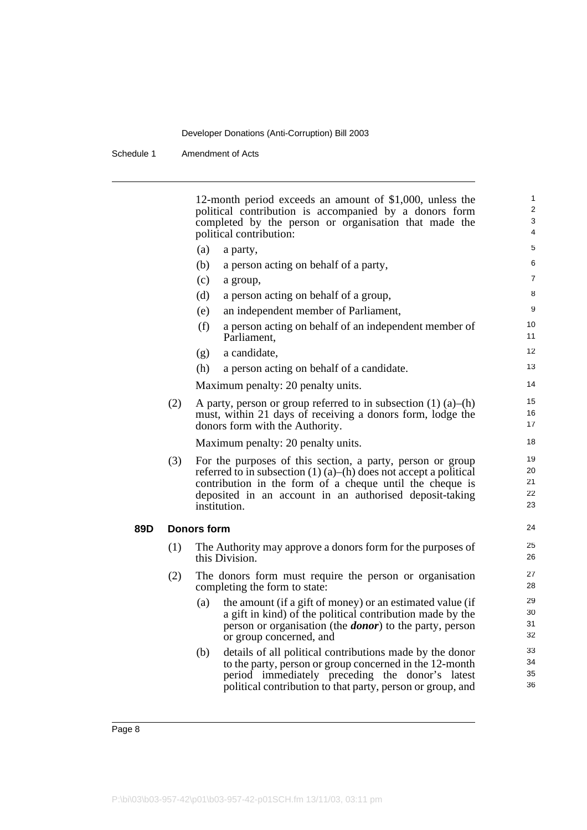Schedule 1 Amendment of Acts

12-month period exceeds an amount of \$1,000, unless the political contribution is accompanied by a donors form completed by the person or organisation that made the political contribution: (a) a party, (b) a person acting on behalf of a party, (c) a group, (d) a person acting on behalf of a group, (e) an independent member of Parliament, (f) a person acting on behalf of an independent member of Parliament, (g) a candidate, (h) a person acting on behalf of a candidate. Maximum penalty: 20 penalty units. (2) A party, person or group referred to in subsection  $(1)$   $(a)$ – $(h)$ must, within 21 days of receiving a donors form, lodge the donors form with the Authority. Maximum penalty: 20 penalty units. (3) For the purposes of this section, a party, person or group referred to in subsection  $(1)$   $(a)$ – $(h)$  does not accept a political contribution in the form of a cheque until the cheque is deposited in an account in an authorised deposit-taking institution. **89D Donors form** (1) The Authority may approve a donors form for the purposes of this Division. (2) The donors form must require the person or organisation completing the form to state: (a) the amount (if a gift of money) or an estimated value (if a gift in kind) of the political contribution made by the person or organisation (the *donor*) to the party, person or group concerned, and (b) details of all political contributions made by the donor to the party, person or group concerned in the 12-month period immediately preceding the donor's latest political contribution to that party, person or group, and 1  $\overline{2}$ 3 4 5 6 7 8 9 10 11 12 13 14 15 16 17 18 19 20 21 22 23 24 25 26 27 28 29 30 31 32 33 34 35 36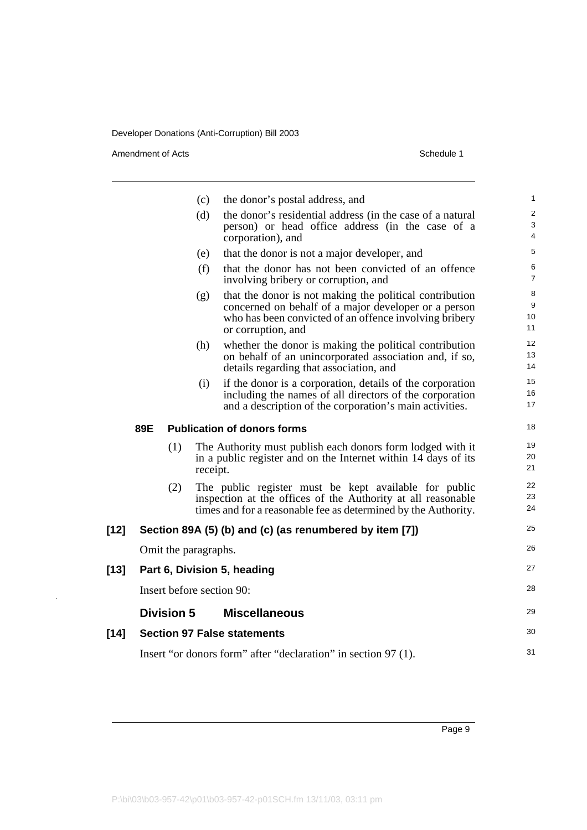Amendment of Acts Schedule 1

 $\ddot{\phantom{a}}$ 

|        |     |                           | (c)      | the donor's postal address, and                                                                                                                                                                 | 1                           |
|--------|-----|---------------------------|----------|-------------------------------------------------------------------------------------------------------------------------------------------------------------------------------------------------|-----------------------------|
|        |     |                           | (d)      | the donor's residential address (in the case of a natural<br>person) or head office address (in the case of a<br>corporation), and                                                              | 2<br>3<br>4                 |
|        |     |                           | (e)      | that the donor is not a major developer, and                                                                                                                                                    | 5                           |
|        |     |                           | (f)      | that the donor has not been convicted of an offence<br>involving bribery or corruption, and                                                                                                     | 6<br>$\overline{7}$         |
|        |     |                           | (g)      | that the donor is not making the political contribution<br>concerned on behalf of a major developer or a person<br>who has been convicted of an offence involving bribery<br>or corruption, and | 8<br>9<br>10<br>11          |
|        |     |                           | (h)      | whether the donor is making the political contribution<br>on behalf of an unincorporated association and, if so,<br>details regarding that association, and                                     | 12 <sup>2</sup><br>13<br>14 |
|        |     |                           | (i)      | if the donor is a corporation, details of the corporation<br>including the names of all directors of the corporation<br>and a description of the corporation's main activities.                 | 15<br>16<br>17              |
|        | 89E |                           |          | <b>Publication of donors forms</b>                                                                                                                                                              | 18                          |
|        |     | (1)                       | receipt. | The Authority must publish each donors form lodged with it<br>in a public register and on the Internet within 14 days of its                                                                    | 19<br>20<br>21              |
|        |     | (2)                       |          | The public register must be kept available for public<br>inspection at the offices of the Authority at all reasonable<br>times and for a reasonable fee as determined by the Authority.         | 22<br>23<br>24              |
| $[12]$ |     |                           |          | Section 89A (5) (b) and (c) (as renumbered by item [7])                                                                                                                                         | 25                          |
|        |     | Omit the paragraphs.      |          |                                                                                                                                                                                                 | 26                          |
| $[13]$ |     |                           |          | Part 6, Division 5, heading                                                                                                                                                                     | 27                          |
|        |     | Insert before section 90: |          |                                                                                                                                                                                                 | 28                          |
|        |     |                           |          |                                                                                                                                                                                                 |                             |
|        |     | <b>Division 5</b>         |          | <b>Miscellaneous</b>                                                                                                                                                                            | 29                          |
| $[14]$ |     |                           |          | <b>Section 97 False statements</b>                                                                                                                                                              | 30                          |
|        |     |                           |          | Insert "or donors form" after "declaration" in section 97 (1).                                                                                                                                  | 31                          |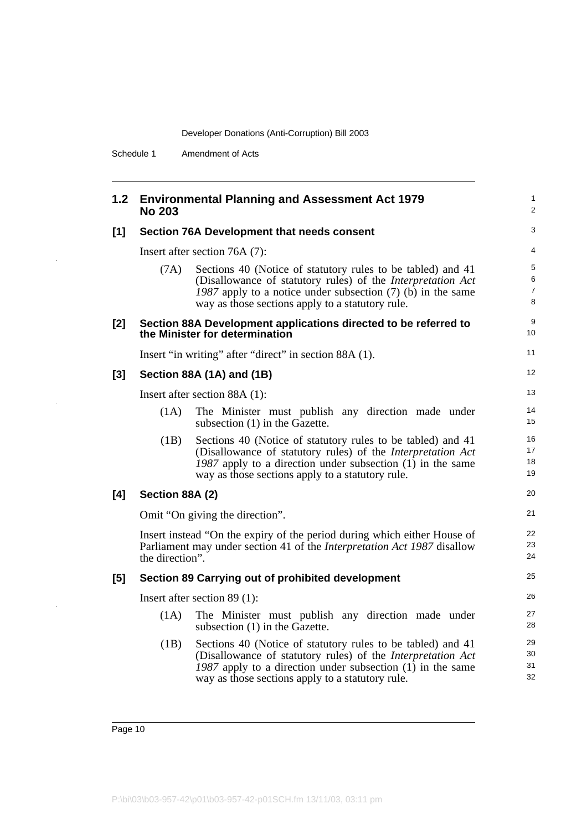Schedule 1 Amendment of Acts

 $\hat{\mathcal{A}}$ 

 $\overline{\phantom{a}}$ 

| 1.2 <sub>2</sub> | <b>No 203</b>   | <b>Environmental Planning and Assessment Act 1979</b>                                                                                                                                                                                                  | 1<br>2               |
|------------------|-----------------|--------------------------------------------------------------------------------------------------------------------------------------------------------------------------------------------------------------------------------------------------------|----------------------|
| $[1]$            |                 | Section 76A Development that needs consent                                                                                                                                                                                                             | 3                    |
|                  |                 | Insert after section 76A (7):                                                                                                                                                                                                                          | 4                    |
|                  | (7A)            | Sections 40 (Notice of statutory rules to be tabled) and 41<br>(Disallowance of statutory rules) of the <i>Interpretation Act</i><br>1987 apply to a notice under subsection $(7)$ (b) in the same<br>way as those sections apply to a statutory rule. | 5<br>6<br>7<br>8     |
| [2]              |                 | Section 88A Development applications directed to be referred to<br>the Minister for determination                                                                                                                                                      | 9<br>10              |
|                  |                 | Insert "in writing" after "direct" in section 88A (1).                                                                                                                                                                                                 | 11                   |
| [3]              |                 | Section 88A (1A) and (1B)                                                                                                                                                                                                                              | 12                   |
|                  |                 | Insert after section $88A(1)$ :                                                                                                                                                                                                                        | 13                   |
|                  | (1A)            | The Minister must publish any direction made under<br>subsection $(1)$ in the Gazette.                                                                                                                                                                 | 14<br>15             |
|                  | (1B)            | Sections 40 (Notice of statutory rules to be tabled) and 41<br>(Disallowance of statutory rules) of the <i>Interpretation Act</i><br>1987 apply to a direction under subsection (1) in the same<br>way as those sections apply to a statutory rule.    | 16<br>17<br>18<br>19 |
| [4]              | Section 88A (2) |                                                                                                                                                                                                                                                        | 20                   |
|                  |                 | Omit "On giving the direction".                                                                                                                                                                                                                        | 21                   |
|                  | the direction". | Insert instead "On the expiry of the period during which either House of<br>Parliament may under section 41 of the <i>Interpretation Act 1987</i> disallow                                                                                             | 22<br>23<br>24       |
| [5]              |                 | Section 89 Carrying out of prohibited development                                                                                                                                                                                                      | 25                   |
|                  |                 | Insert after section $89(1)$ :                                                                                                                                                                                                                         | 26                   |
|                  | (1A)            | The Minister must publish any direction made under<br>subsection $(1)$ in the Gazette.                                                                                                                                                                 | 27<br>28             |
|                  | (1B)            | Sections 40 (Notice of statutory rules to be tabled) and 41<br>(Disallowance of statutory rules) of the <i>Interpretation Act</i><br>1987 apply to a direction under subsection $(1)$ in the same<br>way as those sections apply to a statutory rule.  | 29<br>30<br>31<br>32 |